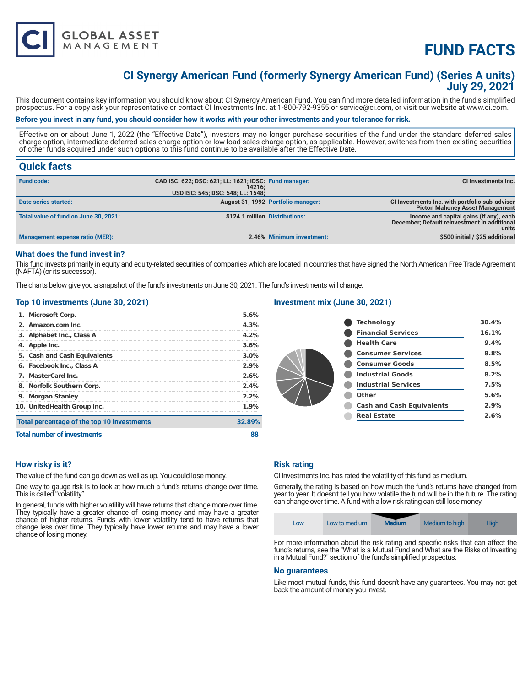

# **CI Synergy American Fund (formerly Synergy American Fund) (Series A units) July 29, 2021**

This document contains key information you should know about CI Synergy American Fund. You can find more detailed information in the fund's simplified prospectus. For a copy ask your representative or contact CI Investments Inc. at 1-800-792-9355 or service@ci.com, or visit our website at www.ci.com.

# **Before you invest in any fund, you should consider how it works with your other investments and your tolerance for risk.**

Effective on or about June 1, 2022 (the "Effective Date"), investors may no longer purchase securities of the fund under the standard deferred sales charge option, intermediate deferred sales charge option or low load sales charge option, as applicable. However, switches from then-existing securities of other funds acquired under such options to this fund continue to be available after the Effective Date.

# **Quick facts**

| <b>Fund code:</b>                      | CAD ISC: 622; DSC: 621; LL: 1621; IDSC: Fund manager:<br>14216:<br>USD ISC: 545; DSC: 548; LL: 1548; |                                    | CI Investments Inc.                                                                              |
|----------------------------------------|------------------------------------------------------------------------------------------------------|------------------------------------|--------------------------------------------------------------------------------------------------|
| Date series started:                   |                                                                                                      | August 31, 1992 Portfolio manager: | CI Investments Inc. with portfolio sub-adviser                                                   |
| Total value of fund on June 30, 2021:  | \$124.1 million Distributions:                                                                       |                                    | <b>Picton Mahoney Asset Management</b>                                                           |
|                                        |                                                                                                      |                                    | Income and capital gains (if any), each<br>December; Default reinvestment in additional<br>units |
| <b>Management expense ratio (MER):</b> |                                                                                                      | 2.46% Minimum investment:          | \$500 initial / \$25 additional                                                                  |

# **What does the fund invest in?**

This fund invests primarily in equity and equity-related securities of companies which are located in countries that have signed the North American Free Trade Agreement (NAFTA) (or its successor).

The charts below give you a snapshot of the fund's investments on June 30, 2021. The fund's investments will change.

# **Top 10 investments (June 30, 2021)**

**GLOBAL ASSET**<br>MANAGEMENT

| 1. Microsoft Corp.                         | 5.6%    |
|--------------------------------------------|---------|
| 2. Amazon.com Inc.                         | 4.3%    |
| 3. Alphabet Inc., Class A                  | $4.2\%$ |
| 4. Apple Inc.                              | 3.6%    |
| 5. Cash and Cash Equivalents               | $3.0\%$ |
| 6. Facebook Inc., Class A                  | 2.9%    |
| 7. MasterCard Inc.                         | 2.6%    |
| 8. Norfolk Southern Corp.                  | 2.4%    |
| 9. Morgan Stanley                          | $2.2\%$ |
| 10. UnitedHealth Group Inc.                | $1.9\%$ |
| Total percentage of the top 10 investments | 32.89%  |
| <b>Total number of investments</b>         |         |

## **Investment mix (June 30, 2021)**

| <b>Technology</b>                | 30.4% |
|----------------------------------|-------|
| <b>Financial Services</b>        | 16.1% |
| <b>Health Care</b>               | 9.4%  |
| <b>Consumer Services</b>         | 8.8%  |
| <b>Consumer Goods</b>            | 8.5%  |
| <b>Industrial Goods</b>          | 8.2%  |
| <b>Industrial Services</b>       | 7.5%  |
| Other                            | 5.6%  |
| <b>Cash and Cash Equivalents</b> | 2.9%  |
| <b>Real Estate</b>               | 2.6%  |
|                                  |       |

## **How risky is it?**

The value of the fund can go down as well as up. You could lose money.

One way to gauge risk is to look at how much a fund's returns change over time. This is called "volatility".

In general, funds with higher volatility will have returns that change more over time. They typically have a greater chance of losing money and may have a greater chance of higher returns. Funds with lower volatility tend to have returns that change less over time. They typically have lower returns and may have a lower chance of losing money.

#### **Risk rating**

CI Investments Inc. has rated the volatility of this fund as medium.

Generally, the rating is based on how much the fund's returns have changed from year to year. It doesn't tell you how volatile the fund will be in the future. The rating can change over time. A fund with a low risk rating can still lose money.



For more information about the risk rating and specific risks that can affect the fund's returns, see the "What is a Mutual Fund and What are the Risks of Investing in a Mutual Fund?" section of the fund's simplified prospectus.

#### **No guarantees**

Like most mutual funds, this fund doesn't have any guarantees. You may not get back the amount of money you invest.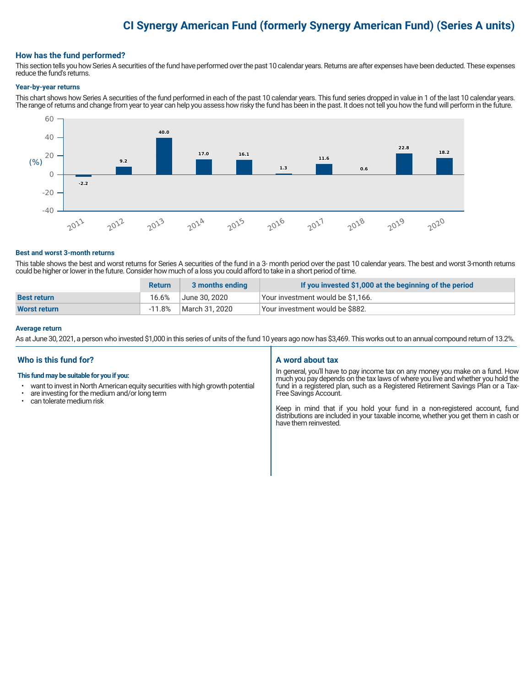# **CI Synergy American Fund (formerly Synergy American Fund) (Series A units)**

# **How has the fund performed?**

This section tells you how Series A securities of the fund have performed over the past 10 calendar years. Returns are after expenses have been deducted. These expenses reduce the fund's returns.

#### **Year-by-year returns**

This chart shows how Series A securities of the fund performed in each of the past 10 calendar years. This fund series dropped in value in 1 of the last 10 calendar years. The range of returns and change from year to year can help you assess how risky the fund has been in the past. It does not tell you how the fund will perform in the future.



#### **Best and worst 3-month returns**

This table shows the best and worst returns for Series A securities of the fund in a 3- month period over the past 10 calendar years. The best and worst 3-month returns could be higher or lower in the future. Consider how much of a loss you could afford to take in a short period of time.

|                     | <b>Return</b> | 3 months ending | If you invested \$1,000 at the beginning of the period |
|---------------------|---------------|-----------------|--------------------------------------------------------|
| <b>Best return</b>  | 16.6%         | June 30, 2020   | Vour investment would be \$1,166.                      |
| <b>Worst return</b> | $-11.8%$      | March 31, 2020  | Your investment would be \$882.                        |

#### **Average return**

As at June 30, 2021, a person who invested \$1,000 in this series of units of the fund 10 years ago now has \$3,469. This works out to an annual compound return of 13.2%.

# **Who is this fund for?**

#### **This fund may be suitable for you if you:**

- want to invest in North American equity securities with high growth potential
- $\cdot$  are investing for the medium and/or long term<br> $\cdot$  can telerate medium risk
- can tolerate medium risk

## **A word about tax**

In general, you'll have to pay income tax on any money you make on a fund. How much you pay depends on the tax laws of where you live and whether you hold the fund in a registered plan, such as a Registered Retirement Savings Plan or a Tax-Free Savings Account.

Keep in mind that if you hold your fund in a non-registered account, fund distributions are included in your taxable income, whether you get them in cash or have them reinvested.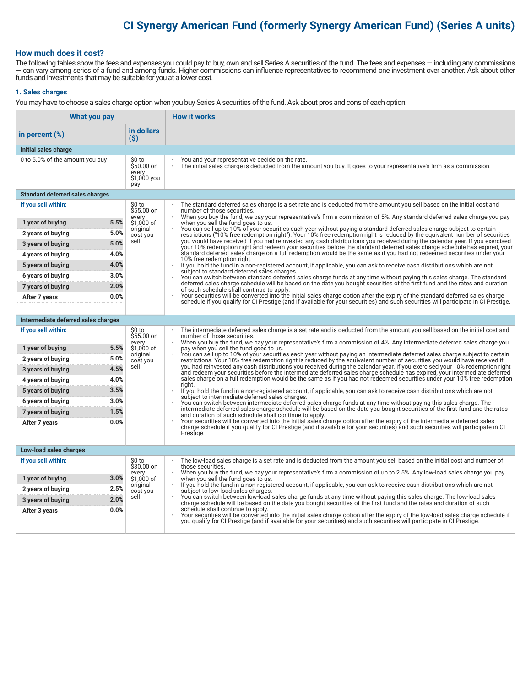# **CI Synergy American Fund (formerly Synergy American Fund) (Series A units)**

# **How much does it cost?**

The following tables show the fees and expenses you could pay to buy, own and sell Series A securities of the fund. The fees and expenses — including any commissions — can vary among series of a fund and among funds. Higher commissions can influence representatives to recommend one investment over another. Ask about other funds and investments that may be suitable for you at a lower cost.

#### **1. Sales charges**

You may have to choose a sales charge option when you buy Series A securities of the fund. Ask about pros and cons of each option.

| What you pay                                   |                                                     | <b>How it works</b>                                                                                                                                                                                                                                                                   |
|------------------------------------------------|-----------------------------------------------------|---------------------------------------------------------------------------------------------------------------------------------------------------------------------------------------------------------------------------------------------------------------------------------------|
| in percent $(\%)$                              | in dollars<br>(S)                                   |                                                                                                                                                                                                                                                                                       |
| Initial sales charge                           |                                                     |                                                                                                                                                                                                                                                                                       |
| 0 to 5.0% of the amount you buy                | \$0 to<br>\$50.00 on<br>every<br>\$1,000 you<br>pay | You and your representative decide on the rate.<br>The initial sales charge is deducted from the amount you buy. It goes to your representative's firm as a commission.                                                                                                               |
| <b>Standard deferred sales charges</b>         |                                                     |                                                                                                                                                                                                                                                                                       |
| If you sell within:                            | \$0 to<br>$$55.00$ on                               | The standard deferred sales charge is a set rate and is deducted from the amount you sell based on the initial cost and<br>number of those securities.                                                                                                                                |
| 5.5%<br>1 year of buying                       | every<br>\$1,000 of                                 | When you buy the fund, we pay your representative's firm a commission of 5%. Any standard deferred sales charge you pay<br>when you sell the fund goes to us.                                                                                                                         |
| 5.0%<br>2 years of buying                      | original<br>cost you                                | You can sell up to 10% of your securities each year without paying a standard deferred sales charge subject to certain<br>restrictions ("10% free redemption right"). Your 10% free redemption right is reduced by the equivalent number of securities                                |
| 5.0%<br>3 years of buying                      | sell                                                | you would have received if you had reinvested any cash distributions you received during the calendar year. If you exercised<br>your 10% redemption right and redeem your securities before the standard deferred sales charge schedule has expired, your                             |
| 4.0%<br>4 years of buying                      |                                                     | standard deferred sales charge on a full redemption would be the same as if you had not redeemed securities under your<br>10% free redemption right.                                                                                                                                  |
| 4.0%<br>5 years of buying                      |                                                     | If you hold the fund in a non-registered account, if applicable, you can ask to receive cash distributions which are not<br>subject to standard deferred sales charges.                                                                                                               |
| 3.0%<br>6 years of buying                      |                                                     | You can switch between standard deferred sales charge funds at any time without paying this sales charge. The standard<br>deferred sales charge schedule will be based on the date you bought securities of the first fund and the rates and duration                                 |
| 2.0%<br>7 years of buying                      |                                                     | of such schedule shall continue to apply.                                                                                                                                                                                                                                             |
| 0.0%<br>After 7 years                          |                                                     | Your securities will be converted into the initial sales charge option after the expiry of the standard deferred sales charge<br>schedule if you qualify for CI Prestige (and if available for your securities) and such securities will participate in CI Prestige.                  |
|                                                |                                                     |                                                                                                                                                                                                                                                                                       |
| Intermediate deferred sales charges            |                                                     |                                                                                                                                                                                                                                                                                       |
| If you sell within:                            | \$0 to<br>\$55.00 on<br>every                       | The intermediate deferred sales charge is a set rate and is deducted from the amount you sell based on the initial cost and<br>number of those securities.<br>When you buy the fund, we pay your representative's firm a commission of 4%. Any intermediate deferred sales charge you |
| 5.5%<br>1 year of buying                       | \$1,000 of<br>original                              | pay when you sell the fund goes to us.<br>You can sell up to 10% of your securities each year without paying an intermediate deferred sales charge subject to certain                                                                                                                 |
| 5.0%<br>2 years of buying                      | cost you<br>sell                                    | restrictions. Your 10% free redemption right is reduced by the equivalent number of securities you would have received if<br>you had reinvested any cash distributions you received during the calendar year. If you exercised your 10% redemption right                              |
| 4.5%<br>3 years of buying                      |                                                     | and redeem your securities before the intermediate deferred sales charge schedule has expired, your intermediate deferred<br>sales charge on a full redemption would be the same as if you had not redeemed securities under your 10% free redemption                                 |
| 4.0%<br>4 years of buying<br>3.5%              |                                                     | riaht.                                                                                                                                                                                                                                                                                |
| 5 years of buying<br>3.0%<br>6 years of buying |                                                     | If you hold the fund in a non-registered account, if applicable, you can ask to receive cash distributions which are not<br>subject to intermediate deferred sales charges.                                                                                                           |
| 1.5%<br>7 years of buying                      |                                                     | You can switch between intermediate deferred sales charge funds at any time without paying this sales charge. The<br>intermediate deferred sales charge schedule will be based on the date you bought securities of the first fund and the rates                                      |
| 0.0%<br>After 7 years                          |                                                     | and duration of such schedule shall continue to apply.<br>Your securities will be converted into the initial sales charge option after the expiry of the intermediate deferred sales                                                                                                  |
|                                                |                                                     | charge schedule if you qualify for CI Prestige (and if available for your securities) and such securities will participate in CI<br>Prestige.                                                                                                                                         |
|                                                |                                                     |                                                                                                                                                                                                                                                                                       |
| Low-load sales charges                         |                                                     |                                                                                                                                                                                                                                                                                       |
| If you sell within:                            | \$0 to<br>\$30.00 on                                | The low-load sales charge is a set rate and is deducted from the amount you sell based on the initial cost and number of<br>those securities.                                                                                                                                         |
| 3.0%<br>1 year of buying                       | every<br>\$1,000 of                                 | When you buy the fund, we pay your representative's firm a commission of up to 2.5%. Any low-load sales charge you pay<br>when you sell the fund goes to us.                                                                                                                          |
| 2.5%<br>2 years of buying                      | original<br>cost you                                | If you hold the fund in a non-registered account, if applicable, you can ask to receive cash distributions which are not<br>subject to low-load sales charges.                                                                                                                        |
| 2.0%<br>3 years of buying                      | sell                                                | You can switch between low-load sales charge funds at any time without paying this sales charge. The low-load sales<br>charge schedule will be based on the date you bought securities of the first fund and the rates and duration of such                                           |
| 0.0%<br>After 3 years                          |                                                     | schedule shall continue to apply.<br>Your securities will be converted into the initial sales charge option after the expiry of the low-load sales charge schedule if                                                                                                                 |
|                                                |                                                     | you qualify for CI Prestige (and if available for your securities) and such securities will participate in CI Prestige.                                                                                                                                                               |